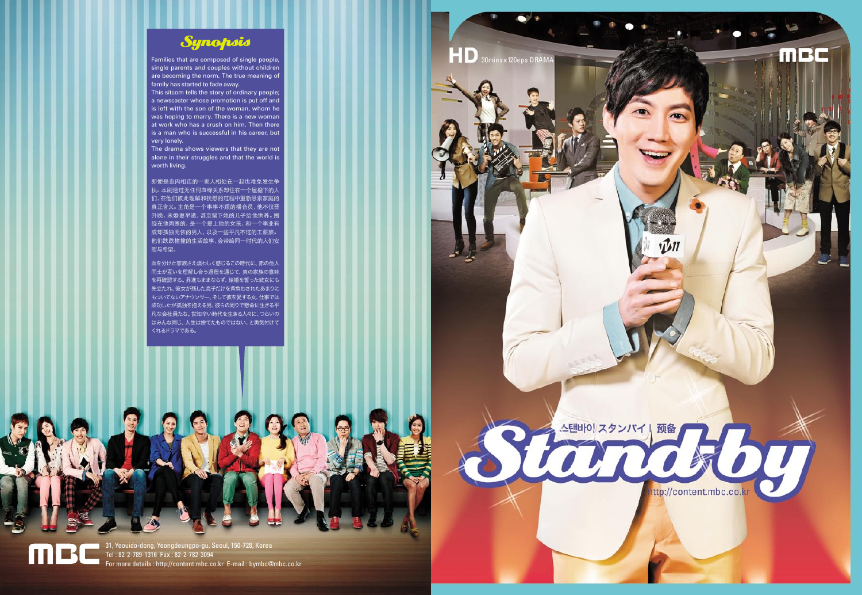31, Yeouido-dong, Yeongdeungpo-gu, Seoul, 150-728, Korea Tel : 82-2-789-1316 Fax : 82-2-782-3094 For more details : http://content.mbc.co.kr E-mail : bymbc@mbc.co.kr







Families that are composed of single people, single parents and couples without children are becoming the norm. The true meaning of family has started to fade away.

This sitcom tells the story of ordinary people; a newscaster whose promotion is put off and is left with the son of the woman, whom he was hoping to marry. There is a new woman at work who has a crush on him. Then there is a man who is successful in his career, but very lonely.

The drama shows viewers that they are not alone in their struggles and that the world is worth living.

即便是血肉相连的一家人相处在一起也难免发生争 执。本剧透过无任何血缘关系却住在一个屋檐下的人 们,在他们彼此理解和抚慰的过程中重新思索家庭的 真正含义。主角是一个事事不顺的播音员,他不仅晋 升晚、未婚妻早逝,甚至留下她的儿子给他供养。围 绕在他周围的,是一个爱上他的女孩,和一个事业有 成却孤独无依的男人,以及一些平凡不过的工薪族。 他们跌跌撞撞的生活故事,会带给同一时代的人们安 慰与希望。

血を分けた家族さえ煩わしく感じるこの時代に、赤の他人 同士が互いを理解し合う過程を通じて、真の家族の意味 を再確認する。昇進もままならず、結婚を誓った彼女にも 先立たれ、彼女が残した息子だけを背負わされたあまりに もついてないアナウンサー、そして彼を愛する女、仕事では 成功したが孤独を抱える男、彼らの周りで懸命に生きる平 凡な会社員たち。世知辛い時代を生きる人々に、つらいの はみんな同じ、人生は捨てたものではない、と勇気付けて くれるドラマである。